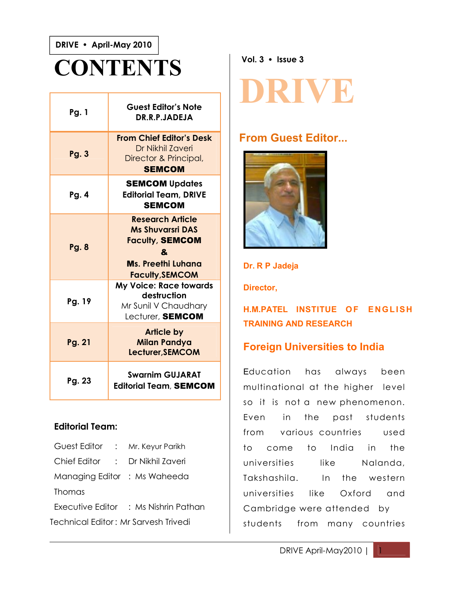**DRIVE April-May 2010**

# **CONTENTS**

| Pg. 1        | <b>Guest Editor's Note</b><br>DR.R.P.JADEJA                                                                                              |
|--------------|------------------------------------------------------------------------------------------------------------------------------------------|
| <b>Pg. 3</b> | <b>From Chief Editor's Desk</b><br>Dr Nikhil Zaveri<br>Director & Principal,<br><b>SEMCOM</b>                                            |
| Pg.4         | <b>SEMCOM Updates</b><br><b>Editorial Team, DRIVE</b><br><b>SEMCOM</b>                                                                   |
| <b>Pg. 8</b> | <b>Research Article</b><br><b>Ms Shuvarsri DAS</b><br><b>Faculty, SEMCOM</b><br>&<br><b>Ms. Preethi Luhana</b><br><b>Faculty, SEMCOM</b> |
| Pg. 19       | <b>My Voice: Race towards</b><br>destruction<br>Mr Sunil V Chaudhary<br>Lecturer, SEMCOM                                                 |
| Pg. 21       | <b>Article by</b><br><b>Milan Pandya</b><br>Lecturer, SEMCOM                                                                             |
| Pg. 23       | <b>Swarnim GUJARAT</b><br><b>Editorial Team, SEMCOM</b>                                                                                  |

#### **Editorial Team:**

|                                       |  | Guest Editor : Mr. Keyur Parikh      |  |
|---------------------------------------|--|--------------------------------------|--|
|                                       |  | Chief Editor : Dr Nikhil Zaveri      |  |
| Managing Editor : Ms Waheeda          |  |                                      |  |
| Thomas                                |  |                                      |  |
|                                       |  | Executive Editor : Ms Nishrin Pathan |  |
| Technical Editor : Mr Sarvesh Trivedi |  |                                      |  |

**Vol. 3 Issue 3** 

# **DRIVE**

# **From Guest Editor...**



#### **Dr. R P Jadeja**

**Director,**

**H.M.PATEL INSTITUE OF ENGLISH TRAINING AND RESEARCH**

# **Foreign Universities to India**

Education has always been multinational at the higher level so it is not a new phenomenon. Even in the past students from various countries used to come to India in the universities like Nalanda, Takshashila. In the western universities like Oxford and Cambridge were attended by students from many countries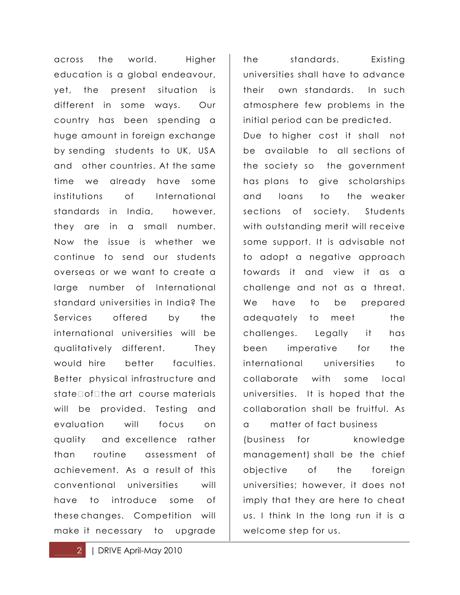across the world. Higher education is a global endeavour, yet, the present situation is different in some ways. Our country has been spending a huge amount in foreign exchange by sending students to UK, USA and other countries. At the same time we already have some institutions of International standards in India, however, they are in a small number. Now the issue is whether we continue to send our students overseas or we want to create a large number of International standard universities in India? The Services offered by the international universities will be qualitatively different. They would hire better faculties. Better physical infrastructure and  $state\Box of\Box$  the art course materials will be provided. Testing and evaluation will focus on quality and excellence rather than routine assessment of achievement. As a result of this conventional universities will have to introduce some of these changes. Competition will make it necessary to upgrade

the standards. Existing universities shall have to advance their own standards. In such atmosphere few problems in the initial period can be predicted. Due to higher cost it shall not be available to all sections of the society so the government has plans to give scholarships and loans to the weaker sections of society. Students with outstanding merit will receive some support. It is advisable not to adopt a negative approach towards it and view it as a challenge and not as a threat. We have to be prepared adequately to meet the challenges. Legally it has been imperative for the international universities to collaborate with some local universities. It is hoped that the collaboration shall be fruitful. As a matter of fact business (business for knowledge management) shall be the chief objective of the foreign universities; however, it does not imply that they are here to cheat us. I think In the long run it is a welcome step for us.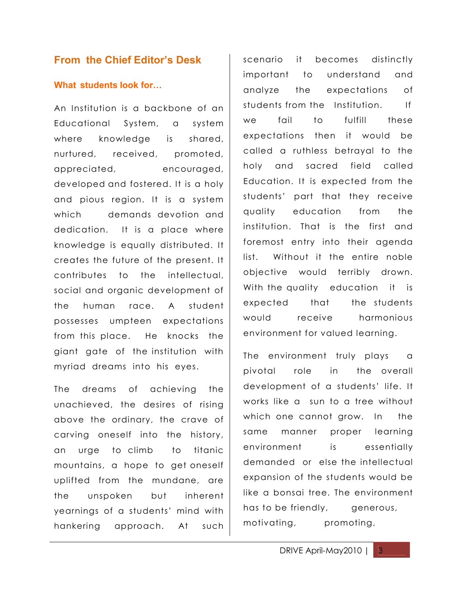#### **From the Chief Editor's Desk**

#### **What students look for…**

An Institution is a backbone of an Educational System, a system where knowledge is shared, nurtured, received, promoted, appreciated, encouraged, developed and fostered. It is a holy and pious region. It is a system which demands devotion and dedication. It is a place where knowledge is equally distributed. It creates the future of the present. It contributes to the intellectual, social and organic development of the human race. A student possesses umpteen expectations from this place. He knocks the giant gate of the institution with myriad dreams into his eyes.

The dreams of achieving the unachieved, the desires of rising above the ordinary, the crave of carving oneself into the history, an urge to climb to titanic mountains, a hope to get oneself uplifted from the mundane, are the unspoken but inherent yearnings of a students' mind with hankering approach. At such scenario it becomes distinctly important to understand and analyze the expectations of students from the Institution. If we fail to fulfill these expectations then it would be called a ruthless betrayal to the holy and sacred field called Education. It is expected from the students' part that they receive quality education from the institution. That is the first and foremost entry into their agenda list. Without it the entire noble objective would terribly drown. With the quality education it is expected that the students would receive harmonious environment for valued learning.

The environment truly plays a pivotal role in the overall development of a students' life. It works like a sun to a tree without which one cannot grow. In the same manner proper learning environment is essentially demanded or else the intellectual expansion of the students would be like a bonsai tree. The environment has to be friendly, enterous, motivating, promoting,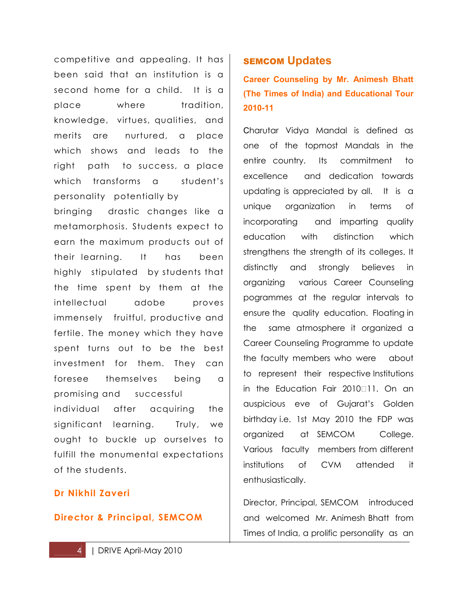competitive and appealing. It has been said that an institution is a second home for a child. It is a place where tradition, knowledge, virtues, qualities, and merits are nurtured, a place which shows and leads to the right path to success, a place which transforms a student's personality potentially by bringing drastic changes like a metamorphosis. Students expect to earn the maximum products out of their learning. It has been highly stipulated by students that the time spent by them at the intellectual adobe proves immensely fruitful, productive and fertile. The money which they have spent turns out to be the best investment for them. They can foresee themselves being a promising and successful individual after acquiring the significant learning. Truly, we ought to buckle up ourselves to fulfill the monumental expectations of the students.

#### **Dr Nikhil Zaveri**

#### **Director & Principal, SEMCOM**

#### SEMCOM **Updates**

**Career Counseling by Mr. Animesh Bhatt (The Times of India) and Educational Tour 2010-11**

Charutar Vidya Mandal is defined as one of the topmost Mandals in the entire country. Its commitment to excellence and dedication towards updating is appreciated by all. It is a unique organization in terms of incorporating and imparting quality education with distinction which strengthens the strength of its colleges. It distinctly and strongly believes in organizing various Career Counseling pogrammes at the regular intervals to ensure the quality education. Floating in the same atmosphere it organized a Career Counseling Programme to update the faculty members who were about to represent their respective Institutions in the Education Fair 2010<sup>[1]</sup>. On an auspicious eve of Gujarat's Golden birthday i.e. 1st May 2010 the FDP was organized at SEMCOM College. Various faculty members from different institutions of CVM attended it enthusiastically.

Director, Principal, SEMCOM introduced and welcomed Mr. Animesh Bhatt from Times of India, a prolific personality as an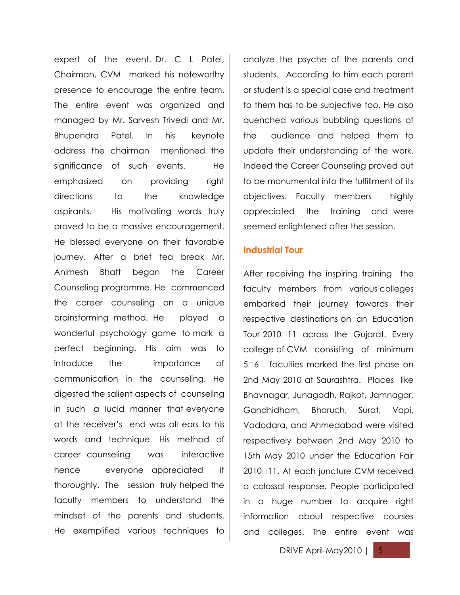expert of the event. Dr. C L Patel, Chairman, CVM marked his noteworthy presence to encourage the entire team. The entire event was organized and managed by Mr. Sarvesh Trivedi and Mr. Bhupendra Patel. In his keynote address the chairman mentioned the significance of such events. He emphasized on providing right directions to the knowledge aspirants. His motivating words truly proved to be a massive encouragement. He blessed everyone on their favorable journey. After a brief tea break Mr. Animesh Bhatt began the Career Counseling programme. He commenced the career counseling on a unique brainstorming method. He played a wonderful psychology game to mark a perfect beginning. His aim was to introduce the importance of communication in the counseling. He digested the salient aspects of counseling in such a lucid manner that everyone at the receiver's end was all ears to his words and technique. His method of career counseling was interactive hence everyone appreciated it thoroughly. The session truly helped the faculty members to understand the mindset of the parents and students. He exemplified various techniques to

analyze the psyche of the parents and students. According to him each parent or student is a special case and treatment to them has to be subjective too. He also quenched various bubbling questions of the audience and helped them to update their understanding of the work. Indeed the Career Counseling proved out to be monumental into the fulfillment of its objectives. Faculty members highly appreciated the training and were seemed enlightened after the session.

#### **Industrial Tour**

After receiving the inspiring training the faculty members from various colleges embarked their journey towards their respective destinations on an Education Tour 2010<sup>[1]</sup> across the Gujarat. Every college of CVM consisting of minimum 5<sup>1</sup>6 faculties marked the first phase on 2nd May 2010 at Saurashtra. Places like Bhavnagar, Junagadh, Rajkot, Jamnagar, Gandhidham, Bharuch, Surat, Vapi, Vadodara, and Ahmedabad were visited respectively between 2nd May 2010 to 15th May 2010 under the Education Fair 2010<sup>[1]</sup>. At each juncture CVM received a colossal response. People participated in a huge number to acquire right information about respective courses and colleges. The entire event was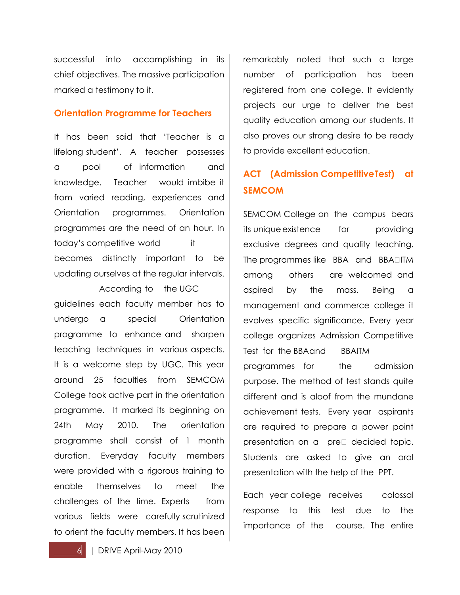successful into accomplishing in its chief objectives. The massive participation marked a testimony to it.

#### **Orientation Programme for Teachers**

It has been said that 'Teacher is a lifelong student'. A teacher possesses a pool of information and knowledge. Teacher would imbibe it from varied reading, experiences and Orientation programmes. Orientation programmes are the need of an hour. In today's competitive world it becomes distinctly important to be updating ourselves at the regular intervals.

According to the UGC guidelines each faculty member has to undergo a special Orientation programme to enhance and sharpen teaching techniques in various aspects. It is a welcome step by UGC. This year around 25 faculties from SEMCOM College took active part in the orientation programme. It marked its beginning on 24th May 2010. The orientation programme shall consist of 1 month duration. Everyday faculty members were provided with a rigorous training to enable themselves to meet the challenges of the time. Experts from various fields were carefully scrutinized to orient the faculty members. It has been

remarkably noted that such a large number of participation has been registered from one college. It evidently projects our urge to deliver the best quality education among our students. It also proves our strong desire to be ready to provide excellent education.

# **ACT (Admission CompetitiveTest) at SEMCOM**

SEMCOM College on the campus bears its unique existence for providing exclusive degrees and quality teaching. The programmes like  $BBA$  and  $BBA \square$ ITM among others are welcomed and aspired by the mass. Being a management and commerce college it evolves specific significance. Every year college organizes Admission Competitive Test for the BBAand BBAITM programmes for the admission purpose. The method of test stands quite different and is aloof from the mundane achievement tests. Every year aspirants are required to prepare a power point presentation on a pre<sup>[1]</sup> decided topic. Students are asked to give an oral presentation with the help of the PPT.

Each year college receives colossal response to this test due to the importance of the course. The entire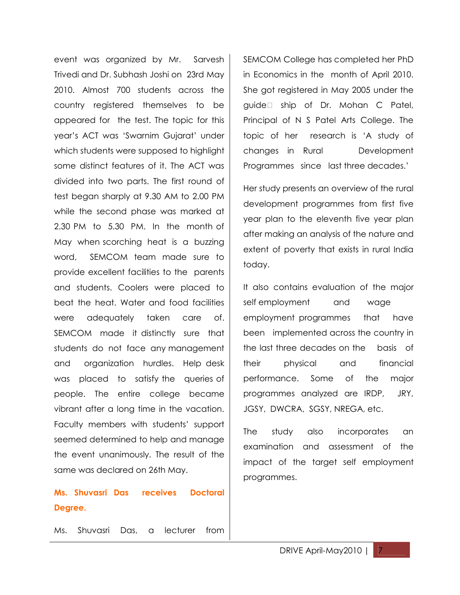event was organized by Mr. Sarvesh Trivedi and Dr. Subhash Joshi on 23rd May 2010. Almost 700 students across the country registered themselves to be appeared for the test. The topic for this year's ACT was 'Swarnim Gujarat' under which students were supposed to highlight some distinct features of it. The ACT was divided into two parts. The first round of test began sharply at 9.30 AM to 2.00 PM while the second phase was marked at 2.30 PM to 5.30 PM. In the month of May when scorching heat is a buzzing word, SEMCOM team made sure to provide excellent facilities to the parents and students. Coolers were placed to beat the heat. Water and food facilities were adequately taken care of. SEMCOM made it distinctly sure that students do not face any management and organization hurdles. Help desk was placed to satisfy the queries of people. The entire college became vibrant after a long time in the vacation. Faculty members with students' support seemed determined to help and manage the event unanimously. The result of the same was declared on 26th May.

**Ms. Shuvasri Das receives Doctoral Degree.**

Ms. Shuvasri Das, a lecturer from

SEMCOM College has completed her PhD in Economics in the month of April 2010. She got registered in May 2005 under the guide  $\Box$  ship of Dr. Mohan C Patel, Principal of N S Patel Arts College. The topic of her research is 'A study of changes in Rural Development Programmes since last three decades.'

Her study presents an overview of the rural development programmes from first five year plan to the eleventh five year plan after making an analysis of the nature and extent of poverty that exists in rural India today.

It also contains evaluation of the major self employment and wage employment programmes that have been implemented across the country in the last three decades on the basis of their physical and financial performance. Some of the major programmes analyzed are IRDP, JRY, JGSY, DWCRA, SGSY, NREGA, etc.

The study also incorporates an examination and assessment of the impact of the target self employment programmes.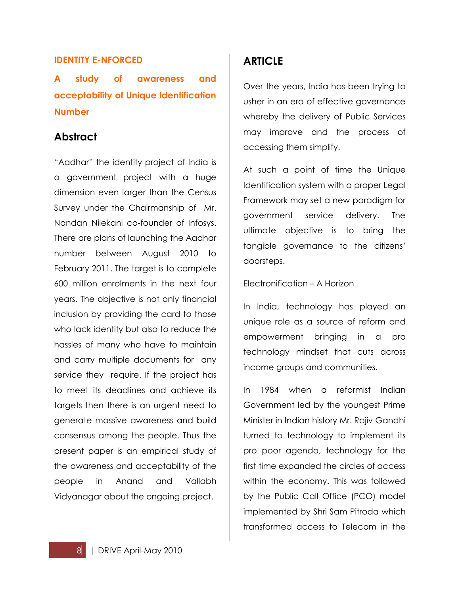#### **IDENTITY E-NFORCED**

**A study of awareness and acceptability of Unique Identification Number**

### **Abstract**

"Aadhar" the identity project of India is a government project with a huge dimension even larger than the Census Survey under the Chairmanship of Mr. Nandan Nilekani co-founder of Infosys. There are plans of launching the Aadhar number between August 2010 to February 2011. The target is to complete 600 million enrolments in the next four years. The objective is not only financial inclusion by providing the card to those who lack identity but also to reduce the hassles of many who have to maintain and carry multiple documents for any service they require. If the project has to meet its deadlines and achieve its targets then there is an urgent need to generate massive awareness and build consensus among the people. Thus the present paper is an empirical study of the awareness and acceptability of the people in Anand and Vallabh Vidyanagar about the ongoing project.

# **ARTICLE**

Over the years, India has been trying to usher in an era of effective governance whereby the delivery of Public Services may improve and the process of accessing them simplify.

At such a point of time the Unique Identification system with a proper Legal Framework may set a new paradigm for government service delivery. The ultimate objective is to bring the tangible governance to the citizens' doorsteps.

#### Electronification – A Horizon

In India, technology has played an unique role as a source of reform and empowerment bringing in a pro technology mindset that cuts across income groups and communities.

In 1984 when a reformist Indian Government led by the youngest Prime Minister in Indian history Mr. Rajiv Gandhi turned to technology to implement its pro poor agenda, technology for the first time expanded the circles of access within the economy. This was followed by the Public Call Office (PCO) model implemented by Shri Sam Pitroda which transformed access to Telecom in the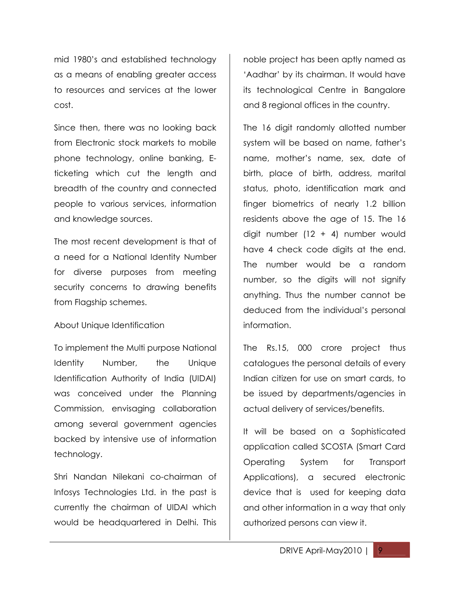mid 1980's and established technology as a means of enabling greater access to resources and services at the lower cost.

Since then, there was no looking back from Electronic stock markets to mobile phone technology, online banking, Eticketing which cut the length and breadth of the country and connected people to various services, information and knowledge sources.

The most recent development is that of a need for a National Identity Number for diverse purposes from meeting security concerns to drawing benefits from Flagship schemes.

#### About Unique Identification

To implement the Multi purpose National Identity Number, the Unique Identification Authority of India (UIDAI) was conceived under the Planning Commission, envisaging collaboration among several government agencies backed by intensive use of information technology.

Shri Nandan Nilekani co-chairman of Infosys Technologies Ltd. in the past is currently the chairman of UIDAI which would be headquartered in Delhi. This

noble project has been aptly named as 'Aadhar' by its chairman. It would have its technological Centre in Bangalore and 8 regional offices in the country.

The 16 digit randomly allotted number system will be based on name, father's name, mother's name, sex, date of birth, place of birth, address, marital status, photo, identification mark and finger biometrics of nearly 1.2 billion residents above the age of 15. The 16 digit number (12 + 4) number would have 4 check code digits at the end. The number would be a random number, so the digits will not signify anything. Thus the number cannot be deduced from the individual's personal information.

The Rs.15, 000 crore project thus catalogues the personal details of every Indian citizen for use on smart cards, to be issued by departments/agencies in actual delivery of services/benefits.

It will be based on a Sophisticated application called SCOSTA (Smart Card Operating System for Transport Applications), a secured electronic device that is used for keeping data and other information in a way that only authorized persons can view it.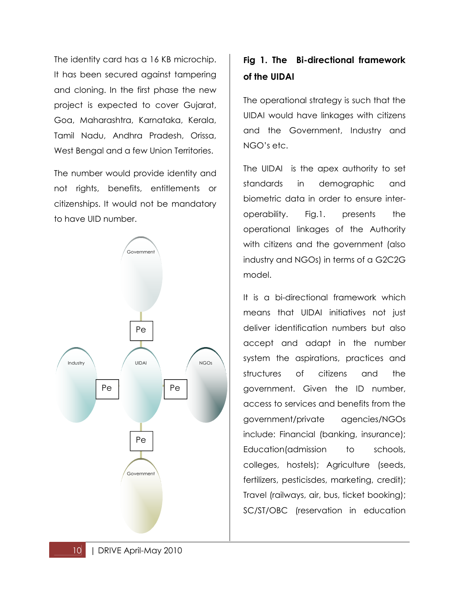The identity card has a 16 KB microchip. It has been secured against tampering and cloning. In the first phase the new project is expected to cover Gujarat, Goa, Maharashtra, Karnataka, Kerala, Tamil Nadu, Andhra Pradesh, Orissa, West Bengal and a few Union Territories.

The number would provide identity and not rights, benefits, entitlements or citizenships. It would not be mandatory to have UID number.



# **Fig 1. The Bi-directional framework of the UIDAI**

The operational strategy is such that the UIDAI would have linkages with citizens and the Government, Industry and NGO's etc.

The UIDAI is the apex authority to set standards in demographic and biometric data in order to ensure interoperability. Fig.1. presents the operational linkages of the Authority with citizens and the government (also industry and NGOs) in terms of a G2C2G model.

It is a bi-directional framework which means that UIDAI initiatives not just deliver identification numbers but also accept and adapt in the number system the aspirations, practices and structures of citizens and the government. Given the ID number, access to services and benefits from the government/private agencies/NGOs include: Financial (banking, insurance); Education(admission to schools, colleges, hostels); Agriculture (seeds, fertilizers, pesticisdes, marketing, credit); Travel (railways, air, bus, ticket booking); SC/ST/OBC (reservation in education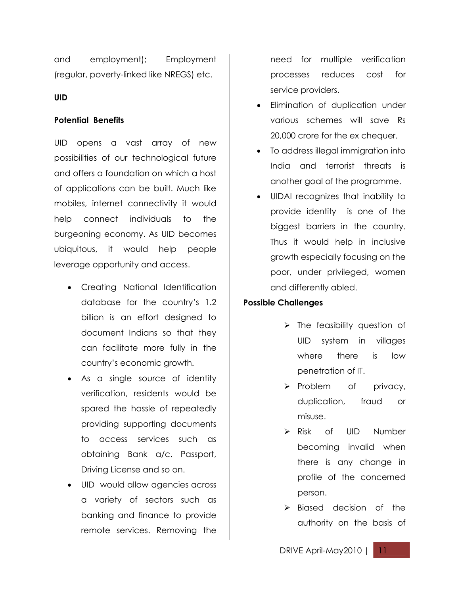and employment); Employment (regular, poverty-linked like NREGS) etc.

#### **UID**

#### **Potential Benefits**

UID opens a vast array of new possibilities of our technological future and offers a foundation on which a host of applications can be built. Much like mobiles, internet connectivity it would help connect individuals to the burgeoning economy. As UID becomes ubiquitous, it would help people leverage opportunity and access.

- Creating National Identification database for the country's 1.2 billion is an effort designed to document Indians so that they can facilitate more fully in the country's economic growth.
- As a single source of identity verification, residents would be spared the hassle of repeatedly providing supporting documents to access services such as obtaining Bank a/c. Passport, Driving License and so on.
- UID would allow agencies across a variety of sectors such as banking and finance to provide remote services. Removing the

need for multiple verification processes reduces cost for service providers.

- Elimination of duplication under various schemes will save Rs 20,000 crore for the ex chequer.
- To address illegal immigration into India and terrorist threats is another goal of the programme.
- UIDAI recognizes that inability to provide identity is one of the biggest barriers in the country. Thus it would help in inclusive growth especially focusing on the poor, under privileged, women and differently abled.

#### **Possible Challenges**

- $\triangleright$  The feasibility question of UID system in villages where there is low penetration of IT.
- $\triangleright$  Problem of privacy, duplication, fraud or misuse.
- > Risk of UID Number becoming invalid when there is any change in profile of the concerned person.
- $\triangleright$  Biased decision of the authority on the basis of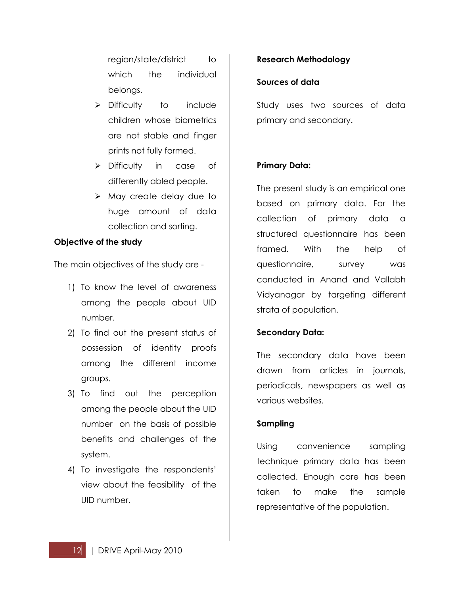region/state/district to which the individual belongs.

- $\triangleright$  Difficulty to include children whose biometrics are not stable and finger prints not fully formed.
- > Difficulty in case of differently abled people.
- $\triangleright$  May create delay due to huge amount of data collection and sorting.

#### **Objective of the study**

The main objectives of the study are -

- 1) To know the level of awareness among the people about UID number.
- 2) To find out the present status of possession of identity proofs among the different income groups.
- 3) To find out the perception among the people about the UID number on the basis of possible benefits and challenges of the system.
- 4) To investigate the respondents' view about the feasibility of the UID number.

#### **Research Methodology**

#### **Sources of data**

Study uses two sources of data primary and secondary.

#### **Primary Data:**

The present study is an empirical one based on primary data. For the collection of primary data a structured questionnaire has been framed. With the help of questionnaire, survey was conducted in Anand and Vallabh Vidyanagar by targeting different strata of population.

#### **Secondary Data:**

The secondary data have been drawn from articles in journals, periodicals, newspapers as well as various websites.

#### **Sampling**

Using convenience sampling technique primary data has been collected. Enough care has been taken to make the sample representative of the population.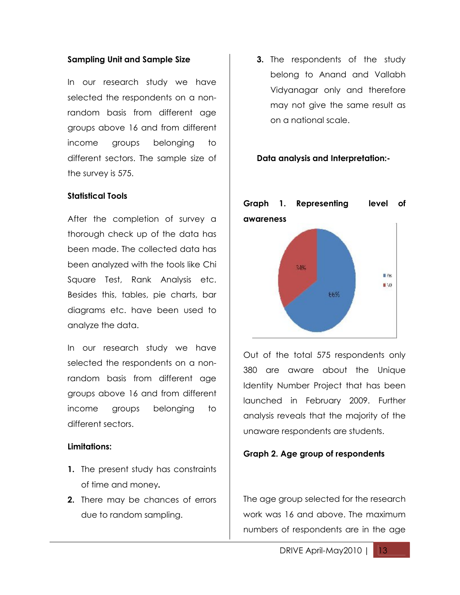#### **Sampling Unit and Sample Size**

In our research study we have selected the respondents on a nonrandom basis from different age groups above 16 and from different income groups belonging to different sectors. The sample size of the survey is 575.

#### **Statistical Tools**

After the completion of survey a thorough check up of the data has been made. The collected data has been analyzed with the tools like Chi Square Test, Rank Analysis etc. Besides this, tables, pie charts, bar diagrams etc. have been used to analyze the data.

In our research study we have selected the respondents on a nonrandom basis from different age groups above 16 and from different income groups belonging to different sectors.

#### **Limitations:**

- **1.** The present study has constraints of time and money**.**
- **2.** There may be chances of errors due to random sampling.

**3.** The respondents of the study belong to Anand and Vallabh Vidyanagar only and therefore may not give the same result as on a national scale.

**Data analysis and Interpretation:-**



Out of the total 575 respondents only 380 are aware about the Unique Identity Number Project that has been launched in February 2009. Further analysis reveals that the majority of the unaware respondents are students.

#### **Graph 2. Age group of respondents**

The age group selected for the research work was 16 and above. The maximum numbers of respondents are in the age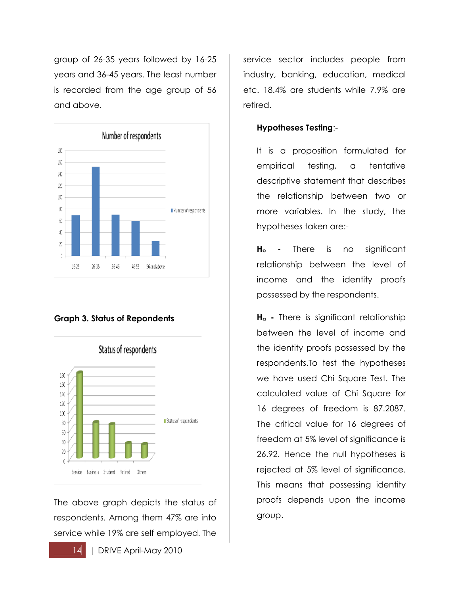group of 26-35 years followed by 16-25 years and 36-45 years. The least number is recorded from the age group of 56 and above.



#### **Graph 3. Status of Repondents**



The above graph depicts the status of respondents. Among them 47% are into service while 19% are self employed. The

service sector includes people from industry, banking, education, medical etc. 18.4% are students while 7.9% are retired.

#### **Hypotheses Testing**:-

It is a proposition formulated for empirical testing, a tentative descriptive statement that describes the relationship between two or more variables. In the study, the hypotheses taken are:-

**Ho -** There is no significant relationship between the level of income and the identity proofs possessed by the respondents.

**Ha -** There is significant relationship between the level of income and the identity proofs possessed by the respondents.To test the hypotheses we have used Chi Square Test. The calculated value of Chi Square for 16 degrees of freedom is 87.2087. The critical value for 16 degrees of freedom at 5% level of significance is 26.92. Hence the null hypotheses is rejected at 5% level of significance. This means that possessing identity proofs depends upon the income group.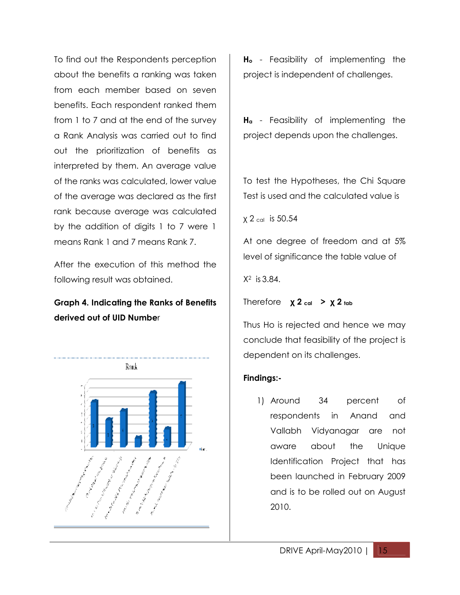To find out the Respondents perception about the benefits a ranking was taken from each member based on seven benefits. Each respondent ranked them from 1 to 7 and at the end of the survey a Rank Analysis was carried out to find out the prioritization of benefits as interpreted by them. An average value of the ranks was calculated, lower value of the average was declared as the first rank because average was calculated by the addition of digits 1 to 7 were 1 means Rank 1 and 7 means Rank 7.

After the execution of this method the following result was obtained.

# **Graph 4. Indicating the Ranks of Benefits derived out of UID Numbe**r



**Ho** - Feasibility of implementing the project is independent of challenges.

**Ha** - Feasibility of implementing the project depends upon the challenges.

To test the Hypotheses, the Chi Square Test is used and the calculated value is

χ 2 cal is 50.54

At one degree of freedom and at 5% level of significance the table value of

Χ2 is 3.84.

Therefore **χ 2 cal > χ 2 tab**

Thus Ho is rejected and hence we may conclude that feasibility of the project is dependent on its challenges.

#### **Findings:-**

1) Around 34 percent of respondents in Anand and Vallabh Vidyanagar are not aware about the Unique Identification Project that has been launched in February 2009 and is to be rolled out on August 2010.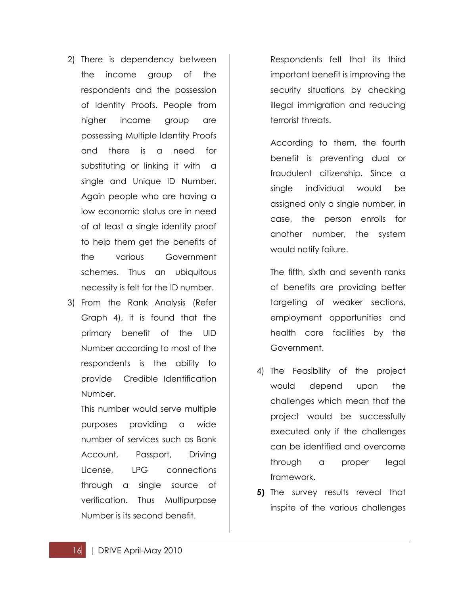- 2) There is dependency between the income group of the respondents and the possession of Identity Proofs. People from higher income group are possessing Multiple Identity Proofs and there is a need for substituting or linking it with a single and Unique ID Number. Again people who are having a low economic status are in need of at least a single identity proof to help them get the benefits of the various Government schemes. Thus an ubiquitous necessity is felt for the ID number.
- 3) From the Rank Analysis (Refer Graph 4), it is found that the primary benefit of the UID Number according to most of the respondents is the ability to provide Credible Identification Number.

This number would serve multiple purposes providing a wide number of services such as Bank Account, Passport, Driving License, LPG connections through a single source of verification. Thus Multipurpose Number is its second benefit.

Respondents felt that its third important benefit is improving the security situations by checking illegal immigration and reducing terrorist threats.

According to them, the fourth benefit is preventing dual or fraudulent citizenship. Since a single individual would be assigned only a single number, in case, the person enrolls for another number, the system would notify failure.

The fifth, sixth and seventh ranks of benefits are providing better targeting of weaker sections, employment opportunities and health care facilities by the Government.

- 4) The Feasibility of the project would depend upon the challenges which mean that the project would be successfully executed only if the challenges can be identified and overcome through a proper legal framework.
- **5)** The survey results reveal that inspite of the various challenges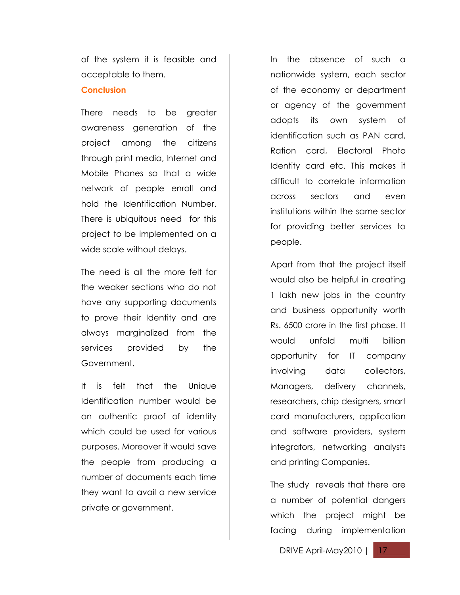of the system it is feasible and acceptable to them.

#### **Conclusion**

There needs to be greater awareness generation of the project among the citizens through print media, Internet and Mobile Phones so that a wide network of people enroll and hold the Identification Number. There is ubiquitous need for this project to be implemented on a wide scale without delays.

The need is all the more felt for the weaker sections who do not have any supporting documents to prove their Identity and are always marginalized from the services provided by the Government.

It is felt that the Unique Identification number would be an authentic proof of identity which could be used for various purposes. Moreover it would save the people from producing a number of documents each time they want to avail a new service private or government.

In the absence of such a nationwide system, each sector of the economy or department or agency of the government adopts its own system of identification such as PAN card, Ration card, Electoral Photo Identity card etc. This makes it difficult to correlate information across sectors and even institutions within the same sector for providing better services to people.

Apart from that the project itself would also be helpful in creating 1 lakh new jobs in the country and business opportunity worth Rs. 6500 crore in the first phase. It would unfold multi billion opportunity for IT company involving data collectors, Managers, delivery channels, researchers, chip designers, smart card manufacturers, application and software providers, system integrators, networking analysts and printing Companies.

The study reveals that there are a number of potential dangers which the project might be facing during implementation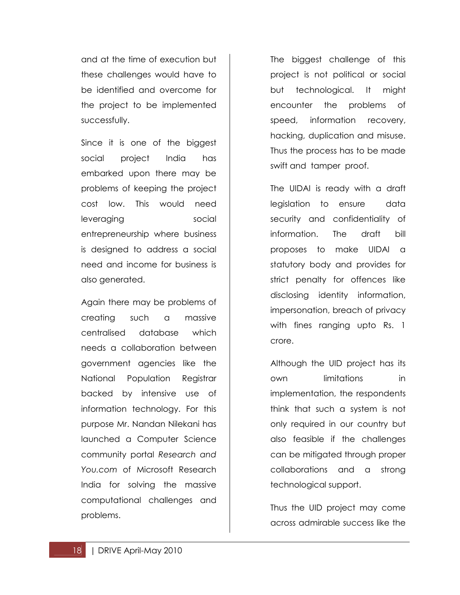and at the time of execution but these challenges would have to be identified and overcome for the project to be implemented successfully.

Since it is one of the biggest social project India has embarked upon there may be problems of keeping the project cost low. This would need leveraging social entrepreneurship where business is designed to address a social need and income for business is also generated.

Again there may be problems of creating such a massive centralised database which needs a collaboration between government agencies like the National Population Registrar backed by intensive use of information technology. For this purpose Mr. Nandan Nilekani has launched a Computer Science community portal *Research and You.com* of Microsoft Research India for solving the massive computational challenges and problems.

The biggest challenge of this project is not political or social but technological. It might encounter the problems of speed, information recovery, hacking, duplication and misuse. Thus the process has to be made swift and tamper proof.

The UIDAI is ready with a draft legislation to ensure data security and confidentiality of information. The draft bill proposes to make UIDAI a statutory body and provides for strict penalty for offences like disclosing identity information, impersonation, breach of privacy with fines ranging upto Rs. 1 crore.

Although the UID project has its own limitations in implementation, the respondents think that such a system is not only required in our country but also feasible if the challenges can be mitigated through proper collaborations and a strong technological support.

Thus the UID project may come across admirable success like the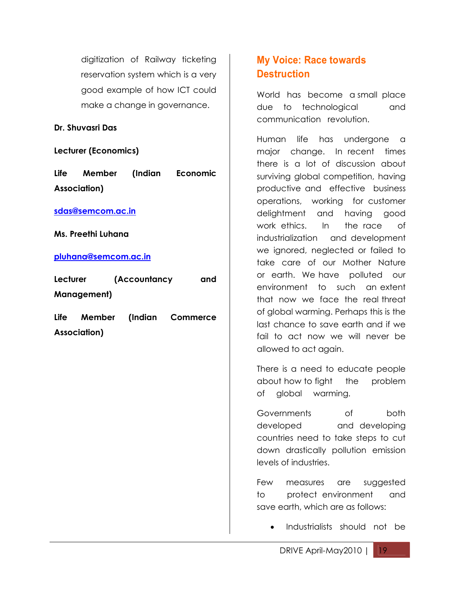digitization of Railway ticketing reservation system which is a very good example of how ICT could make a change in governance.

**Dr. Shuvasri Das**

**Lecturer (Economics)**

**Life Member (Indian Economic Association)**

**sdas@semcom.ac.in**

**Ms. Preethi Luhana**

#### **pluhana@semcom.ac.in**

**Lecturer (Accountancy and Management)**

**Life Member (Indian Commerce Association)**

# **My Voice: Race towards Destruction**

World has become a small place due to technological and communication revolution.

Human life has undergone a major change. In recent times there is a lot of discussion about surviving global competition, having productive and effective business operations, working for customer delightment and having good work ethics. In the race of industrialization and development we ignored, neglected or failed to take care of our Mother Nature or earth. We have polluted our environment to such an extent that now we face the real threat of global warming. Perhaps this is the last chance to save earth and if we fail to act now we will never be allowed to act again.

There is a need to educate people about how to fight the problem of global warming.

Governments of both developed and developing countries need to take steps to cut down drastically pollution emission levels of industries.

Few measures are suggested to protect environment and save earth, which are as follows:

Industrialists should not be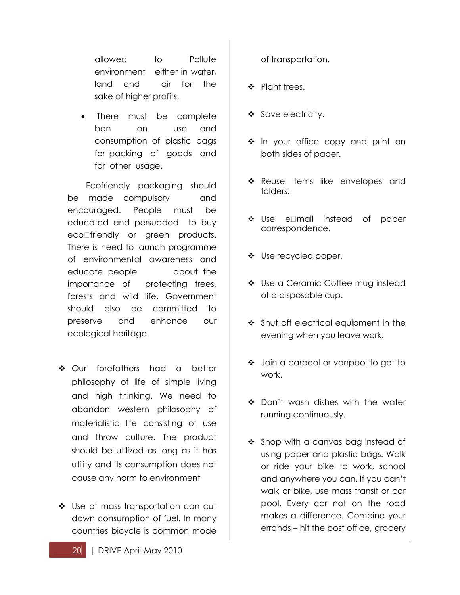allowed to Pollute environment either in water, land and air for the sake of higher profits.

 There must be complete ban on use and consumption of plastic bags for packing of goods and for other usage.

 Ecofriendly packaging should be made compulsory and encouraged. People must be educated and persuaded to buy eco<sup>[friendly or green products.]</sup> There is need to launch programme of environmental awareness and educate people about the importance of protecting trees, forests and wild life. Government should also be committed to preserve and enhance our ecological heritage.

- Our forefathers had a better philosophy of life of simple living and high thinking. We need to abandon western philosophy of materialistic life consisting of use and throw culture. The product should be utilized as long as it has utility and its consumption does not cause any harm to environment
- Use of mass transportation can cut down consumption of fuel. In many countries bicycle is common mode

of transportation.

- \* Plant trees.
- ❖ Save electricity.
- In your office copy and print on both sides of paper.
- \* Reuse items like envelopes and folders.
- $\div$  Use e $\Box$ mail instead of paper correspondence.
- Use recycled paper.
- Use a Ceramic Coffee mug instead of a disposable cup.
- ❖ Shut off electrical equipment in the evening when you leave work.
- ❖ Join a carpool or vanpool to get to work.
- ❖ Don't wash dishes with the water running continuously.
- ❖ Shop with a canvas bag instead of using paper and plastic bags. Walk or ride your bike to work, school and anywhere you can. If you can't walk or bike, use mass transit or car pool. Every car not on the road makes a difference. Combine your errands – hit the post office, grocery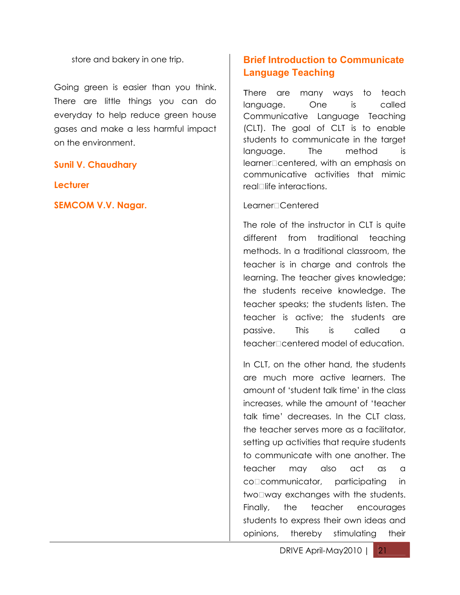#### store and bakery in one trip.

Going green is easier than you think. There are little things you can do everyday to help reduce green house gases and make a less harmful impact on the environment.

**Sunil V. Chaudhary**

**Lecturer**

**SEMCOM V.V. Nagar.**

# **Brief Introduction to Communicate Language Teaching**

There are many ways to teach language. One is called Communicative Language Teaching (CLT). The goal of CLT is to enable students to communicate in the target language. The method is learnerDcentered, with an emphasis on communicative activities that mimic real life interactions.

#### **Learner**□Centered

The role of the instructor in CLT is quite different from traditional teaching methods. In a traditional classroom, the teacher is in charge and controls the learning. The teacher gives knowledge; the students receive knowledge. The teacher speaks; the students listen. The teacher is active; the students are passive. This is called a teacher centered model of education.

In CLT, on the other hand, the students are much more active learners. The amount of 'student talk time' in the class increases, while the amount of 'teacher talk time' decreases. In the CLT class, the teacher serves more as a facilitator, setting up activities that require students to communicate with one another. The teacher may also act as a  $co\square$ communicator, participating in two**Dway exchanges with the students.** Finally, the teacher encourages students to express their own ideas and opinions, thereby stimulating their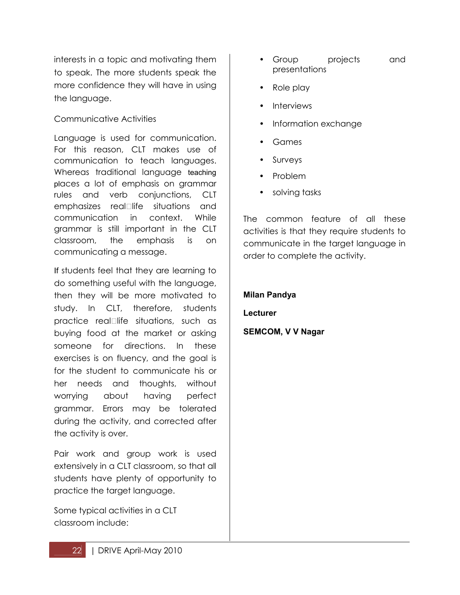interests in a topic and motivating them to speak. The more students speak the more confidence they will have in using the language.

#### Communicative Activities

Language is used for communication. For this reason, CLT makes use of communication to teach languages. Whereas traditional language teaching places a lot of emphasis on grammar rules and verb conjunctions, CLT emphasizes reallife situations and communication in context. While grammar is still important in the CLT classroom, the emphasis is on communicating a message.

If students feel that they are learning to do something useful with the language, then they will be more motivated to study. In CLT, therefore, students practice reallife situations, such as buying food at the market or asking someone for directions. In these exercises is on fluency, and the goal is for the student to communicate his or her needs and thoughts, without worrying about having perfect grammar. Errors may be tolerated during the activity, and corrected after the activity is over.

Pair work and group work is used extensively in a CLT classroom, so that all students have plenty of opportunity to practice the target language.

Some typical activities in a CLT classroom include:

- Group projects and presentations
- Role play
- **Interviews**
- Information exchange
- Games
- Surveys
- Problem
- solving tasks

The common feature of all these activities is that they require students to communicate in the target language in order to complete the activity.

#### **Milan Pandya**

**Lecturer**

**SEMCOM, V V Nagar**